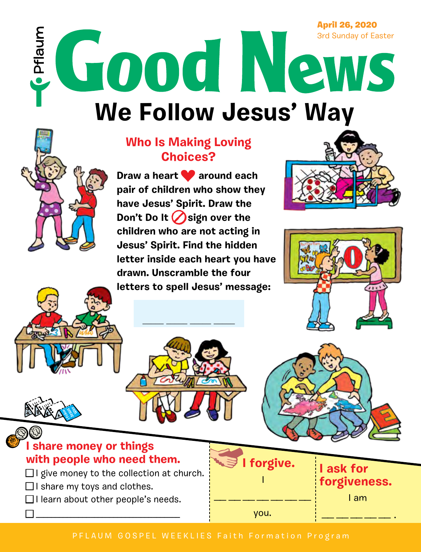April 26, 2020

**We Follow Jesus' Way STROOD IN PROVIDED** 

## **Who Is Making Loving Choices?**

Draw a heart **v** around each **pair of children who show they have Jesus' Spirit. Draw the Don't Do It ⊘sign over the children who are not acting in Jesus' Spirit. Find the hidden letter inside each heart you have drawn. Unscramble the four letters to spell Jesus' message:**









- $\Box$  I give money to the collection at church.
- $\Box$  I share my toys and clothes.

Jesus Burno  $\mathcal{E}$ 

Pflaum

 $\Box$  I learn about other people's needs.

■ \_\_\_\_\_\_\_\_\_\_\_\_\_\_\_\_\_\_\_\_\_\_\_\_\_\_\_\_\_\_\_\_\_\_\_\_\_

**I ask for forgiveness.** I am

\_\_<br>\_\_\_ \_\_\_ \_\_\_ \_\_\_ \_\_\_ .

you.

I

\_\_<br>\_\_\_ \_\_\_ \_\_\_ \_\_\_ \_\_\_ \_\_\_ \_\_\_

**I forgive.**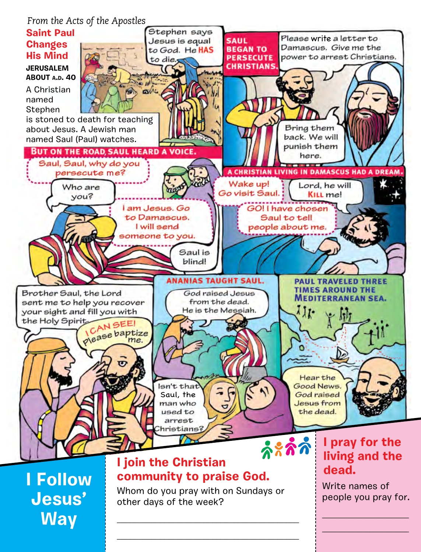#### *From the Acts of the Apostles*



\_\_\_\_\_\_\_\_\_\_\_\_\_\_\_\_\_\_\_\_\_\_\_\_\_\_\_\_\_\_\_\_\_\_\_\_\_\_\_\_\_\_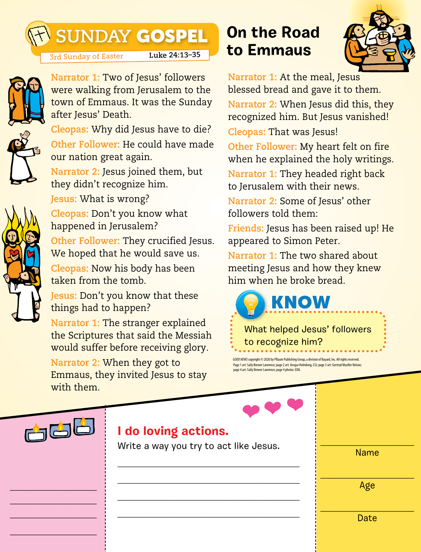# **SUNDAY** GOSPEL

**Narrator 1:** Two of Jesus' followers were walking from Jerusalem to the

3rd Sunday of Easter **Luke 24:13–35**



town of Emmaus. It was the Sunday after Jesus' Death. **Cleopas:** Why did Jesus have to die? **Other Follower:** He could have made

our nation great again. **Narrator 2:** Jesus joined them, but they didn't recognize him.

**Jesus:** What is wrong?



**Cleopas:** Don't you know what happened in Jerusalem? **Other Follower:** They crucified Jesus. We hoped that he would save us. **Cleopas:** Now his body has been taken from the tomb.

**Jesus:** Don't you know that these things had to happen?

**Narrator 1:** The stranger explained the Scriptures that said the Messiah would suffer before receiving glory.

**Narrator 2:** When they got to Emmaus, they invited Jesus to stay with them.

# **On the Road to Emmaus**



**Narrator 1:** At the meal, Jesus blessed bread and gave it to them. **Narrator 2:** When Jesus did this, they recognized him. But Jesus vanished!

**Cleopas:** That was Jesus!

**Other Follower:** My heart felt on fire when he explained the holy writings.

**Narrator 1:** They headed right back to Jerusalem with their news.

**Narrator 2:** Some of Jesus' other followers told them:

**Friends:** Jesus has been raised up! He appeared to Simon Peter.

**Narrator 1:** The two shared about meeting Jesus and how they knew him when he broke bread.



*GOOD NEWS* copyright © 2020 by Pflaum Publishing Group, a division of Bayard, Inc. All rights reserved. Page 1 art: Sally Brewer Lawrence; page 2 art: Ansgar Holmberg, CSJ; page 3 art: Gertrud Mueller Nelson; page 4 art: Sally Brewer Lawrence; page 4 photos: EDA.



\_\_\_\_\_\_\_\_\_\_\_\_\_\_\_\_\_\_\_\_ \_\_\_\_\_\_\_\_\_\_\_\_\_\_\_\_\_\_\_\_ \_\_\_\_\_\_\_\_\_\_\_\_\_\_\_\_\_\_\_\_

\_\_\_\_\_\_\_\_\_\_\_\_\_\_\_\_\_\_\_\_

### **I do loving actions.**

Write a way you try to act like Jesus.

\_\_\_\_\_\_\_\_\_\_\_\_\_\_\_\_\_\_\_\_\_\_\_\_\_\_\_\_\_\_\_\_\_\_\_\_\_\_\_\_\_\_

\_\_\_\_\_\_\_\_\_\_\_\_\_\_\_\_\_\_\_\_\_\_\_\_\_\_\_\_\_\_\_\_\_\_\_\_\_\_\_\_\_\_

\_\_\_\_\_\_\_\_\_\_\_\_\_\_\_\_\_\_\_\_\_\_\_\_\_\_\_\_\_\_\_\_\_\_\_\_\_\_\_\_\_\_

\_\_\_\_\_\_\_\_\_\_\_\_\_\_\_\_\_\_\_\_\_\_\_\_\_\_\_\_\_\_\_\_\_\_\_\_\_\_\_\_\_\_

\_\_\_\_\_\_\_\_\_\_\_\_\_\_\_\_\_\_\_\_\_\_\_ Name

\_\_\_\_\_\_\_\_\_\_\_\_\_\_\_\_\_\_\_\_\_\_\_ Age

\_\_\_\_\_\_\_\_\_\_\_\_\_\_\_\_\_\_\_\_\_\_\_ Date